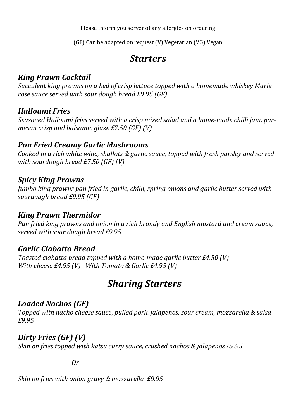Please inform you server of any allergies on ordering

(GF) Can be adapted on request (V) Vegetarian (VG) Vegan

# *Starters*

## *King Prawn Cocktail*

*Succulent king prawns on a bed of crisp lettuce topped with a homemade whiskey Marie rose sauce served with sour dough bread £9.95 (GF)*

## *Halloumi Fries*

*Seasoned Halloumi fries served with a crisp mixed salad and a home-made chilli jam, parmesan crisp and balsamic glaze £7.50 (GF) (V)*

### *Pan Fried Creamy Garlic Mushrooms*

*Cooked in a rich white wine, shallots & garlic sauce, topped with fresh parsley and served with sourdough bread £7.50 (GF) (V)*

### *Spicy King Prawns*

*Jumbo king prawns pan fried in garlic, chilli, spring onions and garlic butter served with sourdough bread £9.95 (GF)*

### *King Prawn Thermidor*

*Pan fried king prawns and onion in a rich brandy and English mustard and cream sauce, served with sour dough bread £9.95* 

### *Garlic Ciabatta Bread*

*Toasted ciabatta bread topped with a home-made garlic butter £4.50 (V) With cheese £4.95 (V) With Tomato & Garlic £4.95 (V)*

# *Sharing Starters*

### *Loaded Nachos (GF)*

*Topped with nacho cheese sauce, pulled pork, jalapenos, sour cream, mozzarella & salsa £9.95*

## *Dirty Fries (GF) (V)*

*Skin on fries topped with katsu curry sauce, crushed nachos & jalapenos £9.95*

*Or*

*Skin on fries with onion gravy & mozzarella £9.95*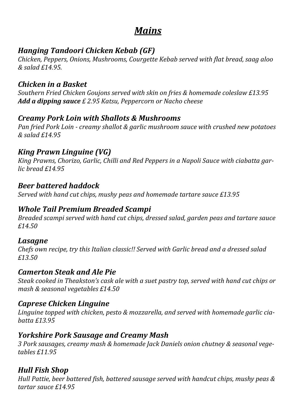## *Mains*

## *Hanging Tandoori Chicken Kebab (GF)*

*Chicken, Peppers, Onions, Mushrooms, Courgette Kebab served with flat bread, saag aloo & salad £14.95.*

## *Chicken in a Basket*

*Southern Fried Chicken Goujons served with skin on fries & homemade coleslaw £13.95 Add a dipping sauce £ 2.95 Katsu, Peppercorn or Nacho cheese*

## *Creamy Pork Loin with Shallots & Mushrooms*

*Pan fried Pork Loin - creamy shallot & garlic mushroom sauce with crushed new potatoes & salad £14.95*

## *King Prawn Linguine (VG)*

*King Prawns, Chorizo, Garlic, Chilli and Red Peppers in a Napoli Sauce with ciabatta garlic bread £14.95*

#### *Beer battered haddock*

*Served with hand cut chips, mushy peas and homemade tartare sauce £13.95*

#### *Whole Tail Premium Breaded Scampi*

*Breaded scampi served with hand cut chips, dressed salad, garden peas and tartare sauce £14.50*

#### *Lasagne*

*Chefs own recipe, try this Italian classic!! Served with Garlic bread and a dressed salad £13.50*

#### *Camerton Steak and Ale Pie*

*Steak cooked in Theakston's cask ale with a suet pastry top, served with hand cut chips or mash & seasonal vegetables £14.50*

#### *Caprese Chicken Linguine*

*Linguine topped with chicken, pesto & mozzarella, and served with homemade garlic ciabatta £13.95*

#### *Yorkshire Pork Sausage and Creamy Mash*

*3 Pork sausages, creamy mash & homemade Jack Daniels onion chutney & seasonal vegetables £11.95*

### *Hull Fish Shop*

*Hull Pattie, beer battered fish, battered sausage served with handcut chips, mushy peas & tartar sauce £14.95*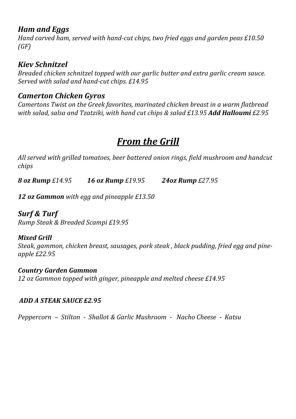#### *Ham and Eggs*

*Hand carved ham, served with hand-cut chips, two fried eggs and garden peas £10.50 (GF)*

## *Kiev Schnitzel*

*Breaded chicken schnitzel topped with our garlic butter and extra garlic cream sauce. Served with salad and hand-cut chips. £14.95*

## *Camerton Chicken Gyros*

*Camertons Twist on the Greek favorites, marinated chicken breast in a warm flatbread with salad, salsa and Tzatziki, with hand cut chips & salad £13.95 Add Halloumi £2.95*

# *From the Grill*

*All served with grilled tomatoes, beer battered onion rings, field mushroom and handcut chips*

*8 oz Rump £14.95 16 oz Rump £19.95 24oz Rump £27.95*

*12 oz Gammon with egg and pineapple £13.50* 

## *Surf & Turf*

*Rump Steak & Breaded Scampi £19.95* 

#### *Mixed Grill*

*Steak, gammon, chicken breast, sausages, pork steak , black pudding, fried egg and pineapple £22.95*

*Country Garden Gammon 12 oz Gammon topped with ginger, pineapple and melted cheese £14.95*

#### *ADD A STEAK SAUCE £2.95*

*Peppercorn – Stilton - Shallot & Garlic Mushroom - Nacho Cheese - Katsu*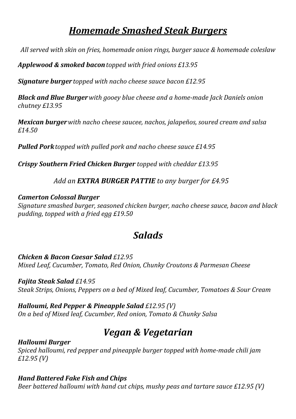## *Homemade Smashed Steak Burgers*

*All served with skin on fries, homemade onion rings, burger sauce & homemade coleslaw*

*Applewood & smoked bacontopped with fried onions £13.95*

*Signature burger topped with nacho cheese sauce bacon £12.95*

*Black and Blue Burgerwith gooey blue cheese and a home-made Jack Daniels onion chutney £13.95*

*Mexican burgerwith nacho cheese saucee, nachos, jalapeños, soured cream and salsa £14.50*

*Pulled Porktopped with pulled pork and nacho cheese sauce £14.95*

*Crispy Southern Fried Chicken Burger topped with cheddar £13.95*

#### *Add an EXTRA BURGER PATTIE to any burger for £4.95*

#### *Camerton Colossal Burger*

*Signature smashed burger, seasoned chicken burger, nacho cheese sauce, bacon and black pudding, topped with a fried egg £19.50*

# *Salads*

#### *Chicken & Bacon Caesar Salad £12.95 Mixed Leaf, Cucumber, Tomato, Red Onion, Chunky Croutons & Parmesan Cheese*

#### *Fajita Steak Salad £14.95*

*Steak Strips, Onions, Peppers on a bed of Mixed leaf, Cucumber, Tomatoes & Sour Cream*

### *Halloumi, Red Pepper & Pineapple Salad £12.95 (V)*

*On a bed of Mixed leaf, Cucumber, Red onion, Tomato & Chunky Salsa*

# *Vegan & Vegetarian*

#### *Halloumi Burger Spiced halloumi, red pepper and pineapple burger topped with home-made chili jam £12.95 (V)*

#### *Hand Battered Fake Fish and Chips*

*Beer battered halloumi with hand cut chips, mushy peas and tartare sauce £12.95 (V)*